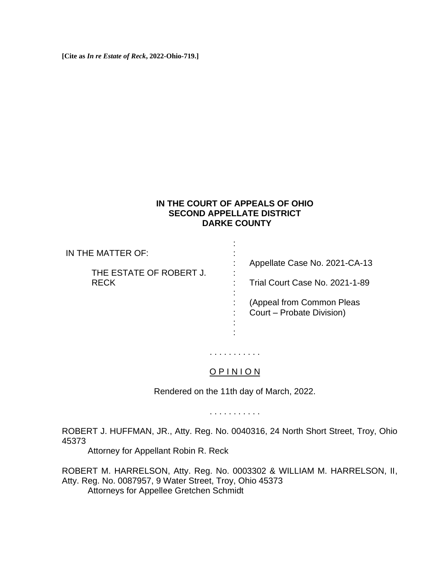**[Cite as** *In re Estate of Reck***, 2022-Ohio-719.]**

## **IN THE COURT OF APPEALS OF OHIO SECOND APPELLATE DISTRICT DARKE COUNTY**

IN THE MATTER OF: THE ESTATE OF ROBERT J. RECK : : : : : : : : : Appellate Case No. 2021-CA-13 Trial Court Case No. 2021-1-89 (Appeal from Common Pleas Court – Probate Division)

## O P I N I O N

:

. . . . . . . . . . .

Rendered on the 11th day of March, 2022.

. . . . . . . . . . .

ROBERT J. HUFFMAN, JR., Atty. Reg. No. 0040316, 24 North Short Street, Troy, Ohio 45373

Attorney for Appellant Robin R. Reck

ROBERT M. HARRELSON, Atty. Reg. No. 0003302 & WILLIAM M. HARRELSON, II, Atty. Reg. No. 0087957, 9 Water Street, Troy, Ohio 45373 Attorneys for Appellee Gretchen Schmidt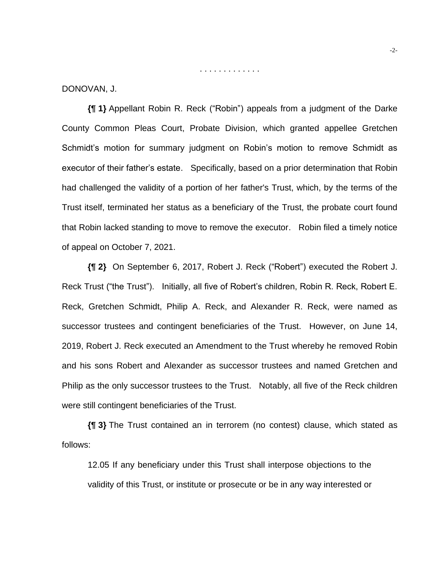DONOVAN, J.

**{¶ 1}** Appellant Robin R. Reck ("Robin") appeals from a judgment of the Darke County Common Pleas Court, Probate Division, which granted appellee Gretchen Schmidt's motion for summary judgment on Robin's motion to remove Schmidt as executor of their father's estate. Specifically, based on a prior determination that Robin had challenged the validity of a portion of her father's Trust, which, by the terms of the Trust itself, terminated her status as a beneficiary of the Trust, the probate court found that Robin lacked standing to move to remove the executor. Robin filed a timely notice of appeal on October 7, 2021.

. . . . . . . . . . . . .

**{¶ 2}** On September 6, 2017, Robert J. Reck ("Robert") executed the Robert J. Reck Trust ("the Trust"). Initially, all five of Robert's children, Robin R. Reck, Robert E. Reck, Gretchen Schmidt, Philip A. Reck, and Alexander R. Reck, were named as successor trustees and contingent beneficiaries of the Trust. However, on June 14, 2019, Robert J. Reck executed an Amendment to the Trust whereby he removed Robin and his sons Robert and Alexander as successor trustees and named Gretchen and Philip as the only successor trustees to the Trust. Notably, all five of the Reck children were still contingent beneficiaries of the Trust.

**{¶ 3}** The Trust contained an in terrorem (no contest) clause, which stated as follows:

12.05 If any beneficiary under this Trust shall interpose objections to the validity of this Trust, or institute or prosecute or be in any way interested or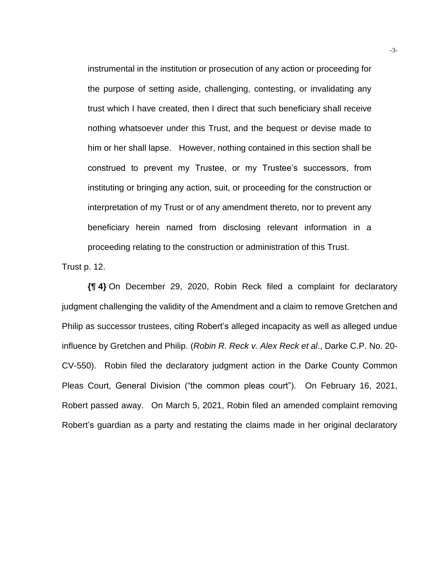instrumental in the institution or prosecution of any action or proceeding for the purpose of setting aside, challenging, contesting, or invalidating any trust which I have created, then I direct that such beneficiary shall receive nothing whatsoever under this Trust, and the bequest or devise made to him or her shall lapse. However, nothing contained in this section shall be construed to prevent my Trustee, or my Trustee's successors, from instituting or bringing any action, suit, or proceeding for the construction or interpretation of my Trust or of any amendment thereto, nor to prevent any beneficiary herein named from disclosing relevant information in a proceeding relating to the construction or administration of this Trust.

Trust p. 12.

**{¶ 4}** On December 29, 2020, Robin Reck filed a complaint for declaratory judgment challenging the validity of the Amendment and a claim to remove Gretchen and Philip as successor trustees, citing Robert's alleged incapacity as well as alleged undue influence by Gretchen and Philip. (*Robin R. Reck v. Alex Reck et al*., Darke C.P. No. 20- CV-550). Robin filed the declaratory judgment action in the Darke County Common Pleas Court, General Division ("the common pleas court"). On February 16, 2021, Robert passed away. On March 5, 2021, Robin filed an amended complaint removing Robert's guardian as a party and restating the claims made in her original declaratory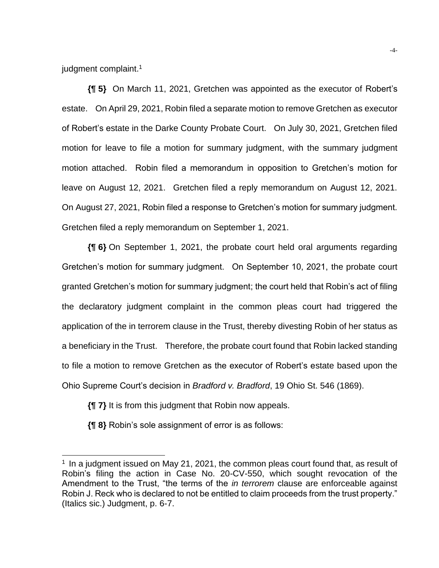judgment complaint.<sup>1</sup>

**{¶ 5}** On March 11, 2021, Gretchen was appointed as the executor of Robert's estate. On April 29, 2021, Robin filed a separate motion to remove Gretchen as executor of Robert's estate in the Darke County Probate Court. On July 30, 2021, Gretchen filed motion for leave to file a motion for summary judgment, with the summary judgment motion attached. Robin filed a memorandum in opposition to Gretchen's motion for leave on August 12, 2021. Gretchen filed a reply memorandum on August 12, 2021. On August 27, 2021, Robin filed a response to Gretchen's motion for summary judgment. Gretchen filed a reply memorandum on September 1, 2021.

**{¶ 6}** On September 1, 2021, the probate court held oral arguments regarding Gretchen's motion for summary judgment. On September 10, 2021, the probate court granted Gretchen's motion for summary judgment; the court held that Robin's act of filing the declaratory judgment complaint in the common pleas court had triggered the application of the in terrorem clause in the Trust, thereby divesting Robin of her status as a beneficiary in the Trust. Therefore, the probate court found that Robin lacked standing to file a motion to remove Gretchen as the executor of Robert's estate based upon the Ohio Supreme Court's decision in *Bradford v. Bradford*, 19 Ohio St. 546 (1869).

**{¶ 7}** It is from this judgment that Robin now appeals.

**{¶ 8}** Robin's sole assignment of error is as follows:

<sup>&</sup>lt;sup>1</sup> In a judgment issued on May 21, 2021, the common pleas court found that, as result of Robin's filing the action in Case No. 20-CV-550, which sought revocation of the Amendment to the Trust, "the terms of the *in terrorem* clause are enforceable against Robin J. Reck who is declared to not be entitled to claim proceeds from the trust property." (Italics sic.) Judgment, p. 6-7.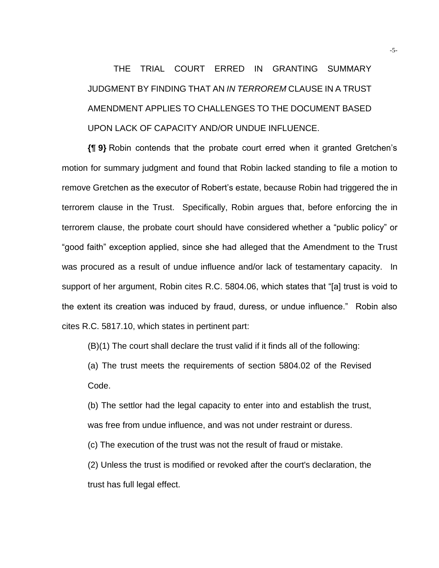THE TRIAL COURT ERRED IN GRANTING SUMMARY JUDGMENT BY FINDING THAT AN *IN TERROREM* CLAUSE IN A TRUST AMENDMENT APPLIES TO CHALLENGES TO THE DOCUMENT BASED UPON LACK OF CAPACITY AND/OR UNDUE INFLUENCE.

**{¶ 9}** Robin contends that the probate court erred when it granted Gretchen's motion for summary judgment and found that Robin lacked standing to file a motion to remove Gretchen as the executor of Robert's estate, because Robin had triggered the in terrorem clause in the Trust. Specifically, Robin argues that, before enforcing the in terrorem clause, the probate court should have considered whether a "public policy" or "good faith" exception applied, since she had alleged that the Amendment to the Trust was procured as a result of undue influence and/or lack of testamentary capacity. In support of her argument, Robin cites R.C. 5804.06, which states that "[a] trust is void to the extent its creation was induced by fraud, duress, or undue influence." Robin also cites R.C. 5817.10, which states in pertinent part:

(B)(1) The court shall declare the trust valid if it finds all of the following:

(a) The trust meets the requirements of section 5804.02 of the Revised Code.

(b) The settlor had the legal capacity to enter into and establish the trust, was free from undue influence, and was not under restraint or duress.

(c) The execution of the trust was not the result of fraud or mistake.

(2) Unless the trust is modified or revoked after the court's declaration, the trust has full legal effect.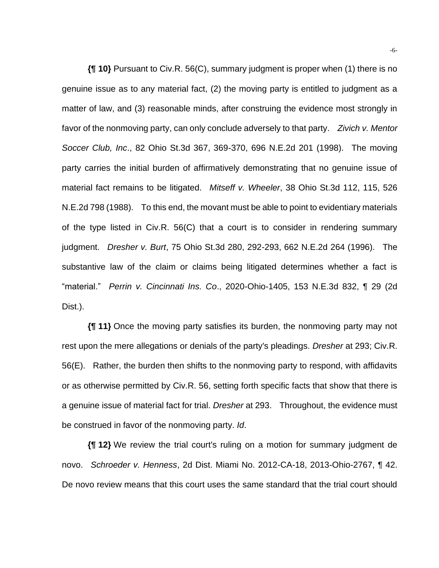**{¶ 10}** Pursuant to Civ.R. 56(C), summary judgment is proper when (1) there is no genuine issue as to any material fact, (2) the moving party is entitled to judgment as a matter of law, and (3) reasonable minds, after construing the evidence most strongly in favor of the nonmoving party, can only conclude adversely to that party. *Zivich v. Mentor Soccer Club, Inc*., 82 Ohio St.3d 367, 369-370, 696 N.E.2d 201 (1998). The moving party carries the initial burden of affirmatively demonstrating that no genuine issue of material fact remains to be litigated. *Mitseff v. Wheeler*, 38 Ohio St.3d 112, 115, 526 N.E.2d 798 (1988). To this end, the movant must be able to point to evidentiary materials of the type listed in Civ.R. 56(C) that a court is to consider in rendering summary judgment. *Dresher v. Burt*, 75 Ohio St.3d 280, 292-293, 662 N.E.2d 264 (1996). The substantive law of the claim or claims being litigated determines whether a fact is "material." *Perrin v. Cincinnati Ins. Co*., 2020-Ohio-1405, 153 N.E.3d 832, ¶ 29 (2d Dist.).

**{¶ 11}** Once the moving party satisfies its burden, the nonmoving party may not rest upon the mere allegations or denials of the party's pleadings. *Dresher* at 293; Civ.R. 56(E). Rather, the burden then shifts to the nonmoving party to respond, with affidavits or as otherwise permitted by Civ.R. 56, setting forth specific facts that show that there is a genuine issue of material fact for trial. *Dresher* at 293. Throughout, the evidence must be construed in favor of the nonmoving party. *Id*.

**{¶ 12}** We review the trial court's ruling on a motion for summary judgment de novo. *Schroeder v. Henness*, 2d Dist. Miami No. 2012-CA-18, 2013-Ohio-2767, ¶ 42. De novo review means that this court uses the same standard that the trial court should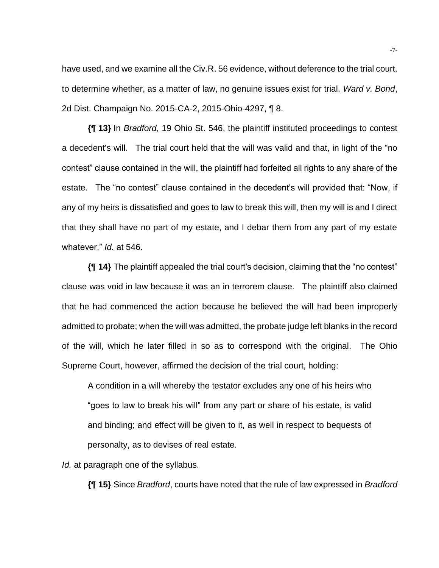have used, and we examine all the Civ.R. 56 evidence, without deference to the trial court, to determine whether, as a matter of law, no genuine issues exist for trial. *Ward v. Bond*, 2d Dist. Champaign No. 2015-CA-2, 2015-Ohio-4297, ¶ 8.

**{¶ 13}** In *Bradford*, 19 Ohio St. 546, the plaintiff instituted proceedings to contest a decedent's will. The trial court held that the will was valid and that, in light of the "no contest" clause contained in the will, the plaintiff had forfeited all rights to any share of the estate. The "no contest" clause contained in the decedent's will provided that: "Now, if any of my heirs is dissatisfied and goes to law to break this will, then my will is and I direct that they shall have no part of my estate, and I debar them from any part of my estate whatever." *Id.* at 546.

**{¶ 14}** The plaintiff appealed the trial court's decision, claiming that the "no contest" clause was void in law because it was an in terrorem clause. The plaintiff also claimed that he had commenced the action because he believed the will had been improperly admitted to probate; when the will was admitted, the probate judge left blanks in the record of the will, which he later filled in so as to correspond with the original. The Ohio Supreme Court, however, affirmed the decision of the trial court, holding:

A condition in a will whereby the testator excludes any one of his heirs who "goes to law to break his will" from any part or share of his estate, is valid and binding; and effect will be given to it, as well in respect to bequests of personalty, as to devises of real estate.

*Id.* at paragraph one of the syllabus.

**{¶ 15}** Since *Bradford*, courts have noted that the rule of law expressed in *Bradford*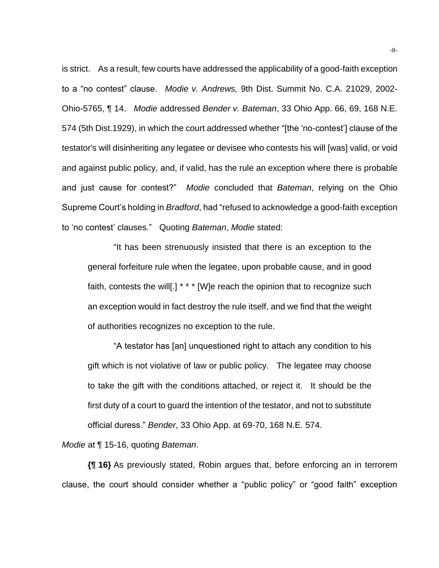is strict. As a result, few courts have addressed the applicability of a good-faith exception to a "no contest" clause. *Modie v. Andrews,* 9th Dist. Summit No. C.A. 21029, 2002- Ohio-5765, ¶ 14. *Modie* addressed *Bender v. Bateman*, 33 Ohio App. 66, 69, 168 N.E. 574 (5th Dist.1929), in which the court addressed whether "[the 'no-contest'] clause of the testator's will disinheriting any legatee or devisee who contests his will [was] valid, or void and against public policy, and, if valid, has the rule an exception where there is probable and just cause for contest?" *Modie* concluded that *Bateman*, relying on the Ohio Supreme Court's holding in *Bradford*, had "refused to acknowledge a good-faith exception to 'no contest' clauses." Quoting *Bateman*, *Modie* stated:

"It has been strenuously insisted that there is an exception to the general forfeiture rule when the legatee, upon probable cause, and in good faith, contests the will[.] \* \* \* [W]e reach the opinion that to recognize such an exception would in fact destroy the rule itself, and we find that the weight of authorities recognizes no exception to the rule.

"A testator has [an] unquestioned right to attach any condition to his gift which is not violative of law or public policy. The legatee may choose to take the gift with the conditions attached, or reject it. It should be the first duty of a court to guard the intention of the testator, and not to substitute official duress." *Bender*, 33 Ohio App. at 69-70, 168 N.E. 574.

*Modie* at ¶ 15-16, quoting *Bateman*.

**{¶ 16}** As previously stated, Robin argues that, before enforcing an in terrorem clause, the court should consider whether a "public policy" or "good faith" exception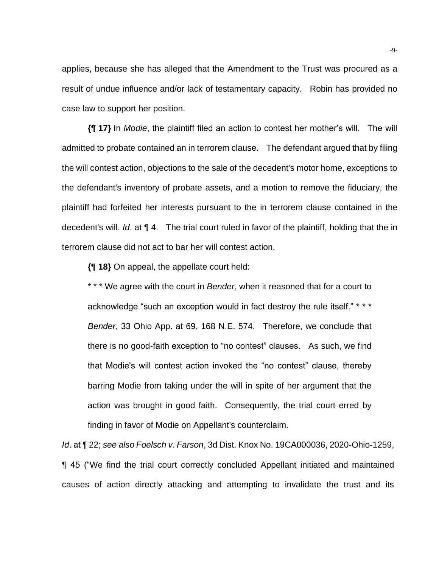applies, because she has alleged that the Amendment to the Trust was procured as a result of undue influence and/or lack of testamentary capacity. Robin has provided no case law to support her position.

**{¶ 17}** In *Modie*, the plaintiff filed an action to contest her mother's will. The will admitted to probate contained an in terrorem clause. The defendant argued that by filing the will contest action, objections to the sale of the decedent's motor home, exceptions to the defendant's inventory of probate assets, and a motion to remove the fiduciary, the plaintiff had forfeited her interests pursuant to the in terrorem clause contained in the decedent's will. *Id*. at ¶ 4. The trial court ruled in favor of the plaintiff, holding that the in terrorem clause did not act to bar her will contest action.

**{¶ 18}** On appeal, the appellate court held:

\* \* \* We agree with the court in *Bender*, when it reasoned that for a court to acknowledge "such an exception would in fact destroy the rule itself." \* \* \* *Bender*, 33 Ohio App. at 69, 168 N.E. 574. Therefore, we conclude that there is no good-faith exception to "no contest" clauses. As such, we find that Modie's will contest action invoked the "no contest" clause, thereby barring Modie from taking under the will in spite of her argument that the action was brought in good faith. Consequently, the trial court erred by finding in favor of Modie on Appellant's counterclaim.

*Id*. at ¶ 22; *see also Foelsch v. Farson*, 3d Dist. Knox No. 19CA000036, 2020-Ohio-1259, ¶ 45 ("We find the trial court correctly concluded Appellant initiated and maintained causes of action directly attacking and attempting to invalidate the trust and its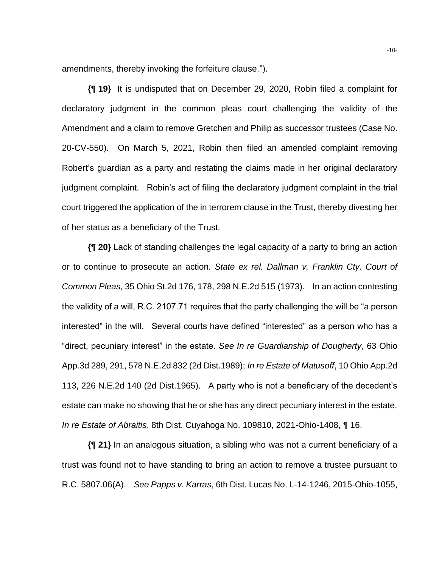amendments, thereby invoking the forfeiture clause.").

**{¶ 19}** It is undisputed that on December 29, 2020, Robin filed a complaint for declaratory judgment in the common pleas court challenging the validity of the Amendment and a claim to remove Gretchen and Philip as successor trustees (Case No. 20-CV-550). On March 5, 2021, Robin then filed an amended complaint removing Robert's guardian as a party and restating the claims made in her original declaratory judgment complaint. Robin's act of filing the declaratory judgment complaint in the trial court triggered the application of the in terrorem clause in the Trust, thereby divesting her of her status as a beneficiary of the Trust.

**{¶ 20}** Lack of standing challenges the legal capacity of a party to bring an action or to continue to prosecute an action. *State ex rel. Dallman v. Franklin Cty. Court of Common Pleas*, 35 Ohio St.2d 176, 178, 298 N.E.2d 515 (1973). In an action contesting the validity of a will, R.C. 2107.71 requires that the party challenging the will be "a person interested" in the will. Several courts have defined "interested" as a person who has a "direct, pecuniary interest" in the estate. *See In re Guardianship of Dougherty*, 63 Ohio App.3d 289, 291, 578 N.E.2d 832 (2d Dist.1989); *In re Estate of Matusoff*, 10 Ohio App.2d 113, 226 N.E.2d 140 (2d Dist.1965). A party who is not a beneficiary of the decedent's estate can make no showing that he or she has any direct pecuniary interest in the estate. *In re Estate of Abraitis*, 8th Dist. Cuyahoga No. 109810, 2021-Ohio-1408, ¶ 16.

**{¶ 21}** In an analogous situation, a sibling who was not a current beneficiary of a trust was found not to have standing to bring an action to remove a trustee pursuant to R.C. 5807.06(A). *See Papps v. Karras*, 6th Dist. Lucas No. L-14-1246, 2015-Ohio-1055,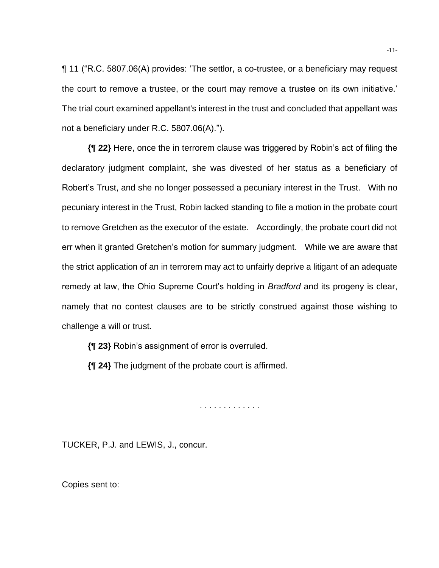¶ 11 ("R.C. 5807.06(A) provides: 'The settlor, a co-trustee, or a beneficiary may request the court to remove a trustee, or the court may remove a trustee on its own initiative.' The trial court examined appellant's interest in the trust and concluded that appellant was not a beneficiary under R.C. 5807.06(A).").

**{¶ 22}** Here, once the in terrorem clause was triggered by Robin's act of filing the declaratory judgment complaint, she was divested of her status as a beneficiary of Robert's Trust, and she no longer possessed a pecuniary interest in the Trust. With no pecuniary interest in the Trust, Robin lacked standing to file a motion in the probate court to remove Gretchen as the executor of the estate. Accordingly, the probate court did not err when it granted Gretchen's motion for summary judgment. While we are aware that the strict application of an in terrorem may act to unfairly deprive a litigant of an adequate remedy at law, the Ohio Supreme Court's holding in *Bradford* and its progeny is clear, namely that no contest clauses are to be strictly construed against those wishing to challenge a will or trust.

**{¶ 23}** Robin's assignment of error is overruled.

**{¶ 24}** The judgment of the probate court is affirmed.

. . . . . . . . . . . . .

TUCKER, P.J. and LEWIS, J., concur.

Copies sent to: